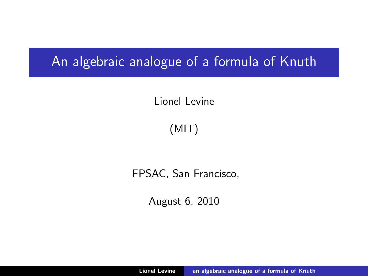# An algebraic analogue of a formula of Knuth

# Lionel Levine

# (MIT)

## FPSAC, San Francisco,

<span id="page-0-0"></span>August 6, 2010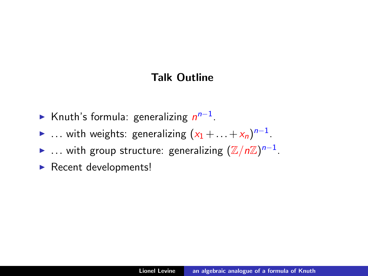## Talk Outline

- ► Knuth's formula: generalizing  $n^{n-1}$ .
- ► ... with weights: generalizing  $(x_1 + ... + x_n)^{n-1}$ .
- ► ... with group structure: generalizing  $(\mathbb{Z}/n\mathbb{Z})^{n-1}$ .
- $\blacktriangleright$  Recent developments!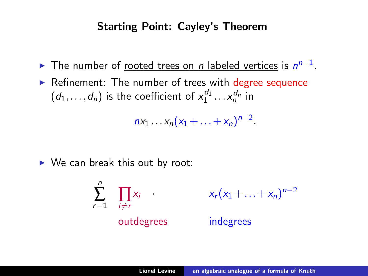#### Starting Point: Cayley's Theorem

- ► The number of <u>rooted trees on *n* labeled vertices</u> is  $n^{n-1}$ .
- $\triangleright$  Refinement: The number of trees with degree sequence  $(d_1,...,d_n)$  is the coefficient of  $x_1^{d_1}...x_n^{d_n}$  in

 $nx_1 ... x_n(x_1 + ... + x_n)^{n-2}.$ 

 $\triangleright$  We can break this out by root:

$$
\sum_{r=1}^{n} \prod_{i \neq r} x_i
$$
 
$$
x_r (x_1 + ... + x_n)^{n-2}
$$
   
outdegrees  
indegrees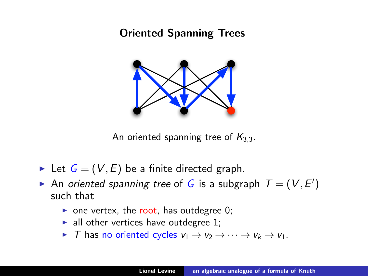# Oriented Spanning Trees



An oriented spanning tree of  $K_{3,3}$ .

- In Let  $G = (V, E)$  be a finite directed graph.
- An oriented spanning tree of G is a subgraph  $T = (V, E')$ such that
	- one vertex, the root, has outdegree 0;
	- $\blacktriangleright$  all other vertices have outdegree 1;
	- In T has no oriented cycles  $v_1 \rightarrow v_2 \rightarrow \cdots \rightarrow v_k \rightarrow v_1$ .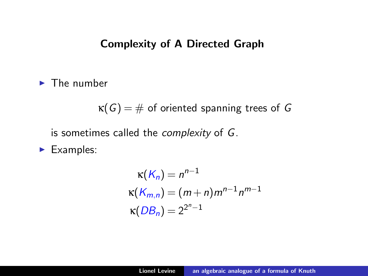#### Complexity of A Directed Graph

 $\blacktriangleright$  The number

 $\kappa(G) = \#$  of oriented spanning trees of G

is sometimes called the complexity of G.

 $\blacktriangleright$  Examples:

$$
\kappa(K_n) = n^{n-1}
$$
  
\n
$$
\kappa(K_{m,n}) = (m+n)m^{n-1}n^{m-1}
$$
  
\n
$$
\kappa(DB_n) = 2^{2^n - 1}
$$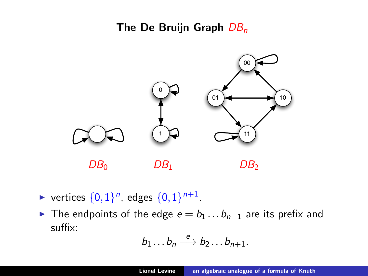### The De Bruijn Graph  $DB_n$



- vertices  $\{0,1\}^n$ , edges  $\{0,1\}^{n+1}$ .
- In The endpoints of the edge  $e = b_1 \dots b_{n+1}$  are its prefix and suffix:

$$
b_1 \ldots b_n \stackrel{e}{\longrightarrow} b_2 \ldots b_{n+1}.
$$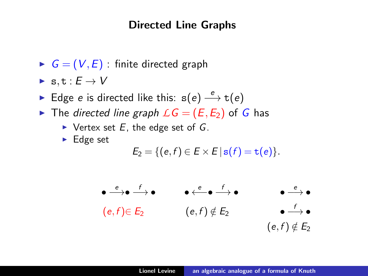#### Directed Line Graphs

- $G = (V, E)$ : finite directed graph
- $\triangleright$  s, t :  $E \to V$
- ► Edge e is directed like this:  $s(e) \stackrel{e}{\longrightarrow} t(e)$
- In The directed line graph  $LG = (E, E_2)$  of G has
	- $\triangleright$  Vertex set E, the edge set of G.
	- $\blacktriangleright$  Edge set

$$
E_2 = \{ (e, f) \in E \times E \, | \, \mathbf{s}(f) = \mathbf{t}(e) \}.
$$

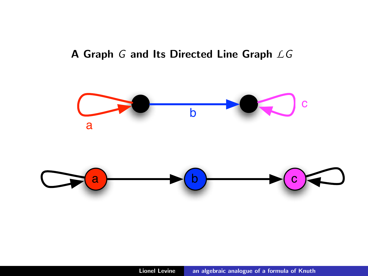# A Graph G and Its Directed Line Graph *L*G

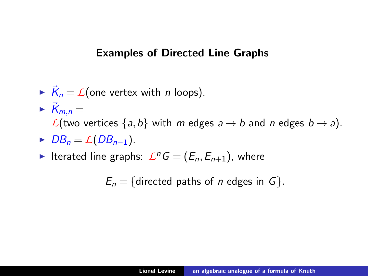#### Examples of Directed Line Graphs

- $\overrightarrow{K}_n = \mathcal{L}$ (one vertex with *n* loops).
- $\overrightarrow{K}_{m,n} =$ *L*(two vertices  $\{a,b\}$  with *m* edges  $a \rightarrow b$  and *n* edges  $b \rightarrow a$ ).
- $D B_n = \mathcal{L}(DB_{n-1}).$
- Iterated line graphs:  $L^nG = (E_n, E_{n+1})$ , where

 $E_n = \{$ directed paths of *n* edges in G $\}.$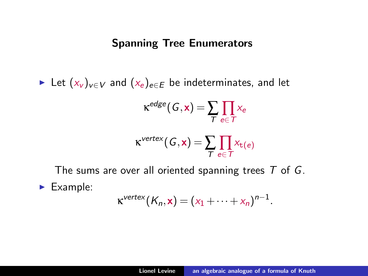#### Spanning Tree Enumerators

► Let  $(x_v)_{v \in V}$  and  $(x_e)_{e \in E}$  be indeterminates, and let

$$
\kappa^{edge}(G, \mathbf{x}) = \sum_{T} \prod_{e \in T} x_e
$$
  

$$
\kappa^{vertex}(G, \mathbf{x}) = \sum_{T} \prod_{e \in T} x_{t(e)}
$$

The sums are over all oriented spanning trees  $T$  of  $G$ .

 $\blacktriangleright$  Example:

$$
\kappa^{vertex}(K_n, \mathbf{x}) = (x_1 + \cdots + x_n)^{n-1}.
$$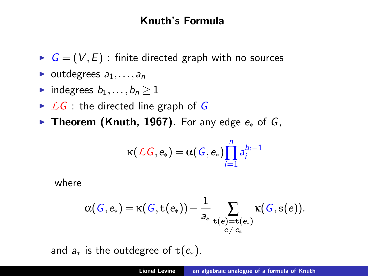# Knuth's Formula

- $G = (V, E)$ : finite directed graph with no sources
- $\blacktriangleright$  outdegrees  $a_1, \ldots, a_n$
- indegrees  $b_1, \ldots, b_n > 1$
- $\triangleright$  *LG* : the directed line graph of G
- **► Theorem (Knuth, 1967).** For any edge  $e_*$  of  $G$ ,

$$
\kappa(\mathcal{L}G,e_*)=\alpha(G,e_*)\prod_{i=1}^n a_i^{b_i-1}
$$

where

$$
\alpha(\mathit{G}, e_*) = \kappa(\mathit{G}, \mathtt{t}(e_*)) - \frac{1}{a_*} \sum_{\substack{\mathsf{t}(e) = \mathtt{t}(e_*) \\ e \neq e_*}} \kappa(\mathit{G}, \mathtt{s}(e)).
$$

and  $a_*$  is the outdegree of t( $e_*$ ).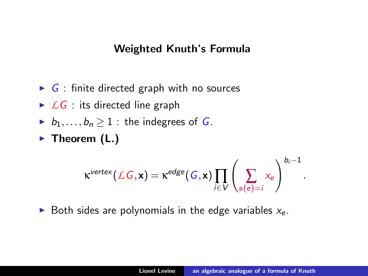#### Weighted Knuth's Formula

- $\triangleright$  G : finite directed graph with no sources
- $\triangleright$  *LG* : its directed line graph
- $\blacktriangleright$   $b_1, \ldots, b_n$  > 1 : the indegrees of G.
- $\blacktriangleright$  Theorem (L.)

$$
\kappa^{\text{vertex}}(\mathcal{L}G, \textbf{x}) = \kappa^{\text{edge}}(G, \textbf{x}) \prod_{i \in V} \left(\sum_{s(e)=i} x_e\right)^{b_i-1}.
$$

Both sides are polynomials in the edge variables  $x_e$ .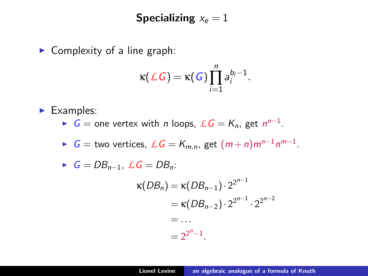# Specializing  $x_e = 1$

 $\triangleright$  Complexity of a line graph:

$$
\kappa(\mathcal{L}G)=\kappa(G)\prod_{i=1}^n a_i^{b_i-1}.
$$

 $\blacktriangleright$  Examples:

- ►  $G =$  one vertex with *n* loops,  $\mathcal{L}G = K_n$ , get  $n^{n-1}$ .
- ►  $G =$  two vertices,  $LG = K_{m,n}$ , get  $(m+n)m^{n-1}n^{m-1}$ .

$$
\blacktriangleright \ \ G = DB_{n-1}, \ \mathcal{L}G = DB_n:
$$

$$
\kappa(DB_n) = \kappa(DB_{n-1}) \cdot 2^{2^{n-1}}
$$
  
=  $\kappa(DB_{n-2}) \cdot 2^{2^{n-1}} \cdot 2^{2^{n-2}}$   
= ...  
=  $2^{2^n-1}$ .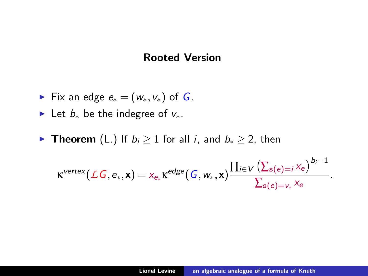#### Rooted Version

- Fix an edge  $e_*(w_*, v_*)$  of G.
- ► Let  $b_*$  be the indegree of  $v_*$ .
- **Fifte Theorem** (L.) If  $b_i \geq 1$  for all *i*, and  $b_* \geq 2$ , then

$$
\kappa^{\text{vertex}}\big(\mathcal{L} \textit{G}, \textit{e}_*, \textbf{x} \big) = \textit{x}_{\textit{e}_*} \kappa^{\textit{edge}}\big(\textit{G}, \textit{w}_*, \textbf{x} \big) \frac{\prod_{\textit{i} \in \textit{V}} \big(\Sigma_{\textit{s}(\textit{e}) = \textit{i}} \textit{x}_{\textit{e}} \big)^{\textit{b}_\textit{i}-1}}{\sum_{\textit{s}(\textit{e}) = \textit{v}_*} \textit{x}_{\textit{e}}}.
$$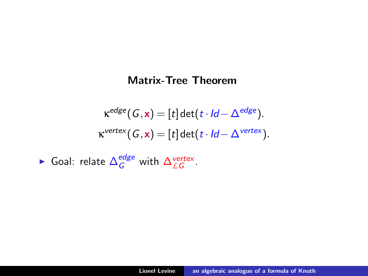#### Matrix-Tree Theorem

$$
\kappa^{edge}(G, \mathbf{x}) = [t] \det(t \cdot ld - \Delta^{edge}).
$$
  

$$
\kappa^{vertex}(G, \mathbf{x}) = [t] \det(t \cdot ld - \Delta^{vertex}).
$$

► Goal: relate  $\Delta_G^{edge}$  with  $\Delta_{LG}^{vertex}$ .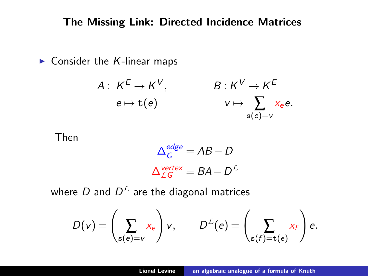#### The Missing Link: Directed Incidence Matrices

 $\blacktriangleright$  Consider the K-linear maps

$$
A: K^{E} \to K^{V}, \qquad B: K^{V} \to K^{E}
$$

$$
e \mapsto t(e) \qquad \qquad v \mapsto \sum_{s(e)=v} x_{e}e.
$$

Then

$$
\Delta_G^{edge} = AB - D
$$

$$
\Delta_{LG}^{vertex} = BA - D^{\perp}
$$

where  $D$  and  $D^{\mathcal{L}}$  are the diagonal matrices

$$
D(v) = \left(\sum_{s(e)=v} x_e\right) v, \qquad D^{\mathcal{L}}(e) = \left(\sum_{s(f)=\mathtt{t}(e)} x_f\right) e.
$$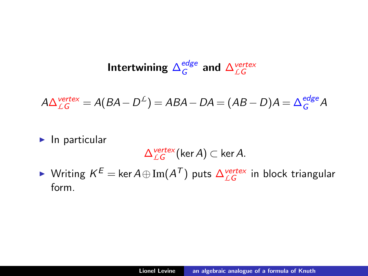#### Intertwining  $\Delta_G^{edge}$  $\frac{edge}{G}$  and  $\Delta_{LG}^{vertex}$

$$
A\Delta_{LG}^{vertex} = A(BA - D^L) = ABA - DA = (AB - D)A = \Delta_G^{edge}A
$$

#### $\blacktriangleright$  In particular

$$
\Delta^{vertex}_{\mathcal{LG}}(\text{ker}\,A)\subset\text{ker}\,A.
$$

► Writing  $K^E = \ker A \oplus \text{Im}(A^T)$  puts  $\Delta_{LG}^{vertex}$  in block triangular form.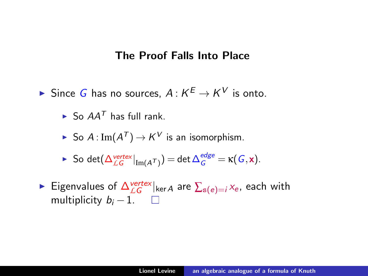#### The Proof Falls Into Place

► Since G has no sources,  $A: K^E \to K^V$  is onto.

 $\blacktriangleright$  So  $AA^T$  has full rank.

- ► So A : Im $(A^{\mathcal{T}})$   $\rightarrow$   $K^{\mathcal{V}}$  is an isomorphism.
- ► So det( $\Delta_{\text{LG}}^{\text{vertex}}|_{\text{Im}(A^{\mathcal{T}})}) = \det \Delta_{\text{G}}^{\text{edge}} = \kappa(G, \mathbf{x}).$
- ► Eigenvalues of Δ<sup>vertex</sup> ker *A* are  $\sum_{s(e)=i}$  *x*<sub>e</sub>, each with multiplicity  $b_i - 1$ .  $\Box$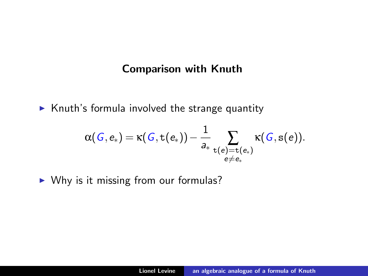#### Comparison with Knuth

 $\triangleright$  Knuth's formula involved the strange quantity

$$
\alpha(\mathit{G}, e_*) = \kappa(\mathit{G}, \mathtt{t}(e_*)) - \frac{1}{a_*} \sum_{\substack{\mathsf{t}(e) = \mathtt{t}(e_*) \\ e \neq e_*}} \kappa(\mathit{G}, \mathtt{s}(e)).
$$

 $\triangleright$  Why is it missing from our formulas?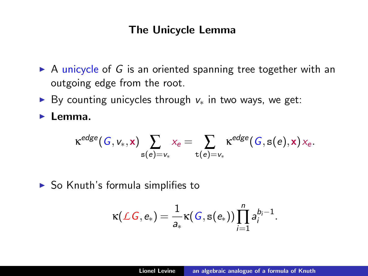#### The Unicycle Lemma

- $\triangleright$  A unicycle of G is an oriented spanning tree together with an outgoing edge from the root.
- ► By counting unicycles through  $v_*$  in two ways, we get:

 $\blacktriangleright$  Lemma.

$$
\kappa^{edge}(G, \nu_*, x) \sum_{\mathbf{s}(e)=\nu_*} x_e = \sum_{\mathbf{t}(e)=\nu_*} \kappa^{edge}(G, \mathbf{s}(e), x) \, x_e.
$$

 $\triangleright$  So Knuth's formula simplifies to

$$
\kappa(\mathcal{L}G,e_*)=\frac{1}{a_*}\kappa(G,\mathbf{s}(e_*))\prod_{i=1}^n a_i^{b_i-1}.
$$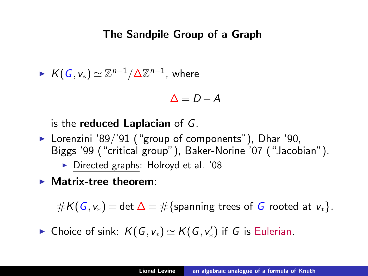#### The Sandpile Group of a Graph

$$
\blacktriangleright \ K(G, v_*) \simeq \mathbb{Z}^{n-1}/\Delta \mathbb{Z}^{n-1}, \text{ where }
$$

$$
\Delta = D - A
$$

#### is the reduced Laplacian of G.

- $\blacktriangleright$  Lorenzini '89/'91 ("group of components"), Dhar '90, Biggs '99 ("critical group"), Baker-Norine '07 ("Jacobian").
	- $\triangleright$  Directed graphs: Holroyd et al. '08
- $\blacktriangleright$  Matrix-tree theorem:

 $#K(G, v_*) = \det \Delta = \#\{\text{spanning trees of } G \text{ rooted at } v_*\}.$ 

► Choice of sink:  $K(G, v_*) \simeq K(G, v_*')$  if G is Eulerian.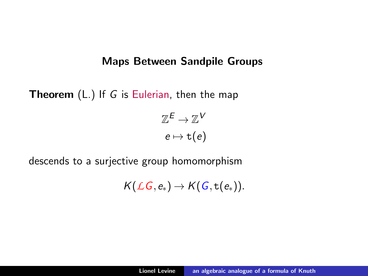#### Maps Between Sandpile Groups

**Theorem**  $(L)$  If G is Eulerian, then the map

 $\mathbb{Z}^E \to \mathbb{Z}^{\mathcal{V}}$  $e \mapsto t(e)$ 

descends to a surjective group homomorphism

 $K(\mathcal{L}G, e_*) \rightarrow K(G, t(e_*)).$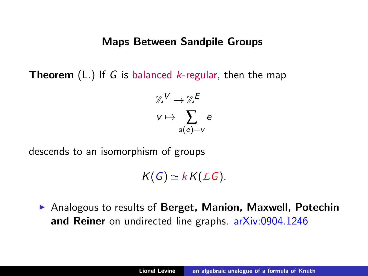#### Maps Between Sandpile Groups

**Theorem** (L.) If G is balanced *k*-regular, then the map

$$
\mathbb{Z}^{\mathcal{V}} \to \mathbb{Z}^{\mathcal{E}}
$$

$$
\mathsf{v} \mapsto \sum_{\mathsf{s}(\mathsf{e})=\mathsf{v}} \mathsf{e}
$$

descends to an isomorphism of groups

 $K(G) \simeq k K(LG)$ .

▶ Analogous to results of Berget, Manion, Maxwell, Potechin and Reiner on undirected line graphs. [arXiv:0904.1246](http://arxiv.org/abs/0904.1246)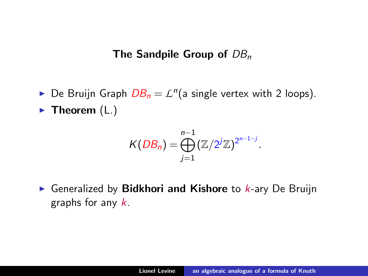The Sandpile Group of  $DB_n$ 

► De Bruijn Graph  $DB_n = L^n$ (a single vertex with 2 loops).  $\blacktriangleright$  Theorem (L.)

$$
K(DB_n)=\bigoplus_{j=1}^{n-1}(\mathbb{Z}/2^j\mathbb{Z})^{2^{n-1-j}}.
$$

Generalized by **Bidkhori and Kishore** to  $k$ -ary De Bruijn graphs for any k.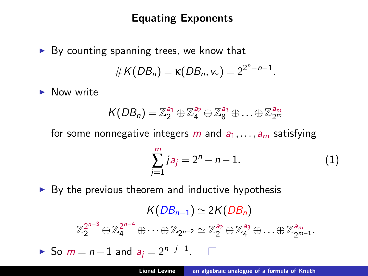# Equating Exponents

 $\triangleright$  By counting spanning trees, we know that  $#K(DB_n) = \kappa(DB_n, v_*) = 2^{2^n - n - 1}.$ 

 $\blacktriangleright$  Now write

$$
K(DB_n) = \mathbb{Z}_2^{a_1} \oplus \mathbb{Z}_4^{a_2} \oplus \mathbb{Z}_8^{a_3} \oplus \ldots \oplus \mathbb{Z}_{2^m}^{a_m}
$$

for some nonnegative integers m and  $a_1, \ldots, a_m$  satisfying

$$
\sum_{j=1}^{m} j a_j = 2^n - n - 1.
$$
 (1)

 $\triangleright$  By the previous theorem and inductive hypothesis

 $K(DB_{n-1}) \simeq 2K(DB_n)$  $\mathbb{Z}_2^{2^{n-3}} \oplus \mathbb{Z}_4^{2^{n-4}} \oplus \cdots \oplus \mathbb{Z}_{2^{n-2}} \simeq \mathbb{Z}_2^{a_2} \oplus \mathbb{Z}_4^{a_3} \oplus \ldots \oplus \mathbb{Z}_{2^m}^{a_m}$ a<sub>m</sub><br>2<sup>m−1</sup>′ ► So  $m = n - 1$  and  $a_j = 2^{n-j-1}$ .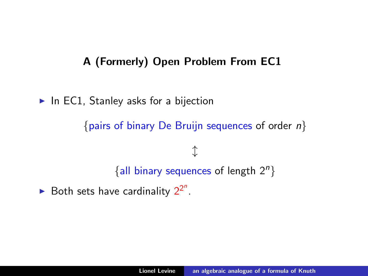# A (Formerly) Open Problem From EC1

 $\blacktriangleright$  In EC1, Stanley asks for a bijection

{pairs of binary De Bruijn sequences of order  $n$ }

# $\updownarrow$ {all binary sequences of length  $2^n$ }

Both sets have cardinality  $2^{2^n}$ .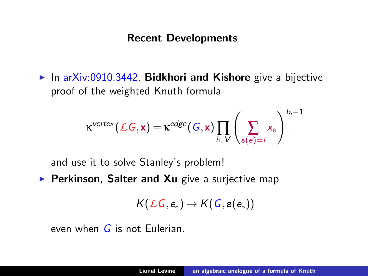#### Recent Developments

In [arXiv:0910.3442,](http://arxiv.org/abs/0910.3442) Bidkhori and Kishore give a bijective proof of the weighted Knuth formula

$$
\kappa^{vertex}(\text{LG}, \mathbf{x}) = \kappa^{edge}(G, \mathbf{x}) \prod_{i \in V} \left(\sum_{s(e)=i} x_e\right)^{b_i-1}
$$

and use it to solve Stanley's problem!

Perkinson, Salter and Xu give a surjective map

$$
{\mathsf K}({\mathcal L} G, {\mathsf e}_*)\to {\mathsf K}(G, {\mathsf s}({\mathsf e}_*))
$$

even when  $G$  is not Fulerian.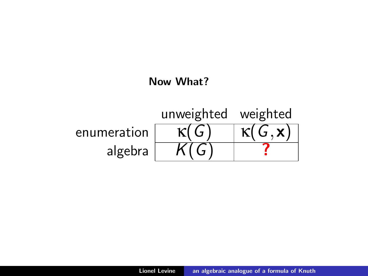#### Now What?